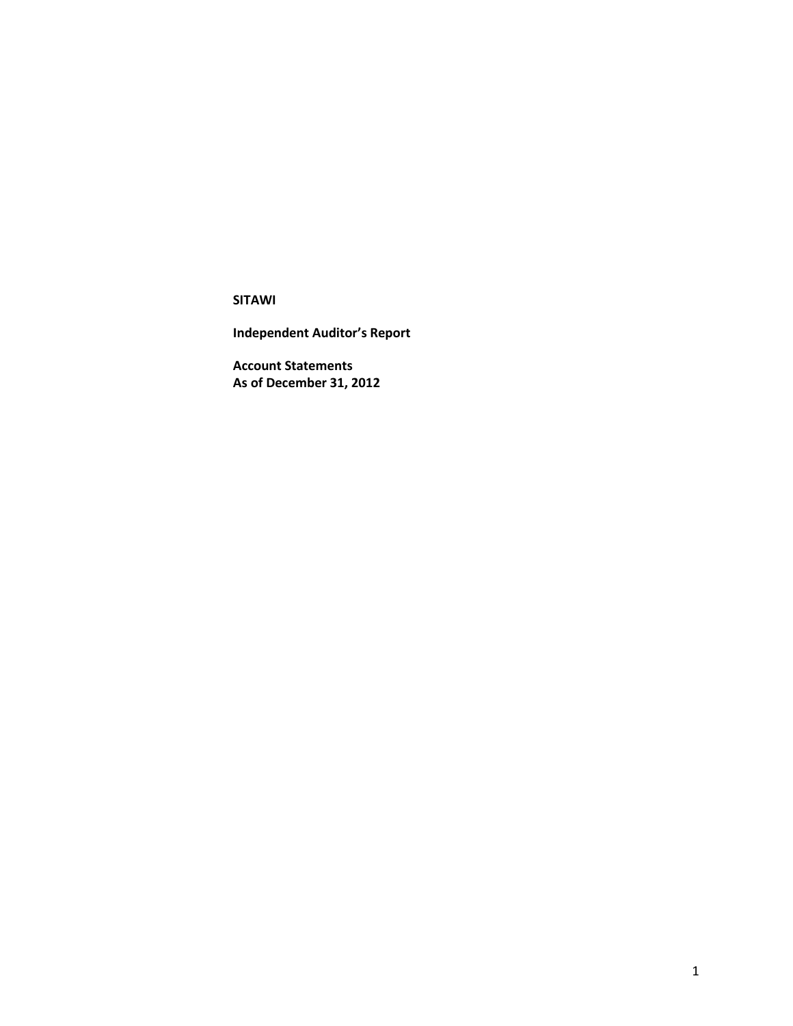**Independent Auditor's Report**

**Account Statements As of December 31, 2012**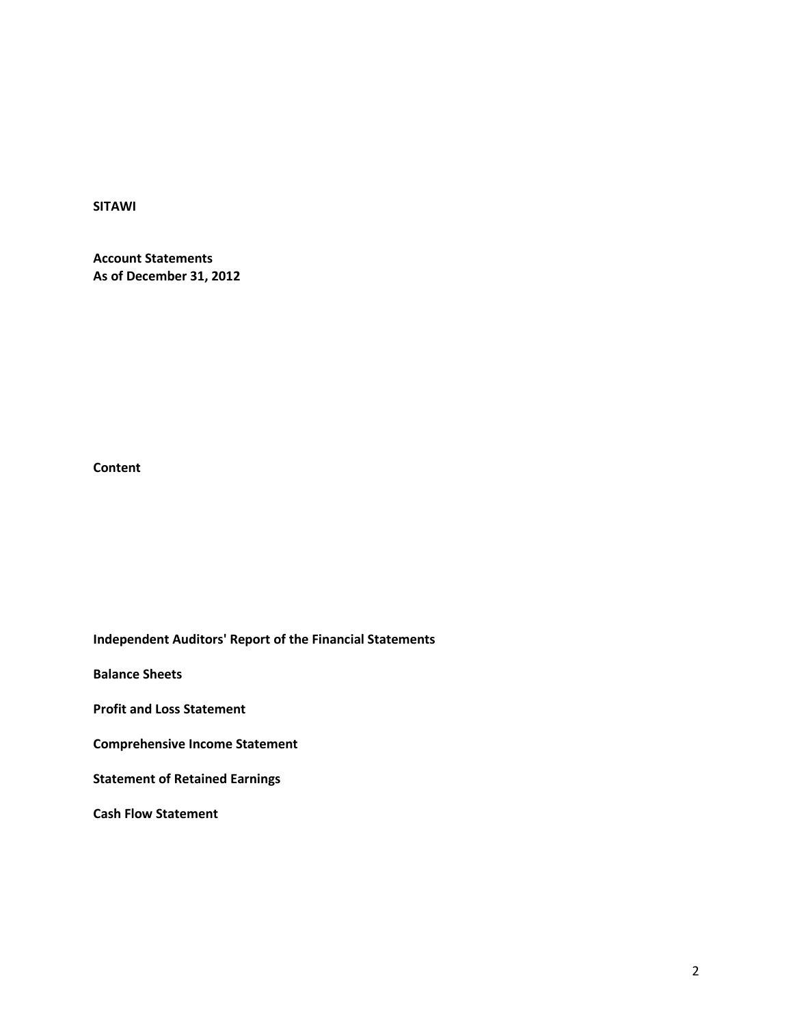**Account Statements As of December 31, 2012**

**Content**

**Independent Auditors' Report of the Financial Statements**

**Balance Sheets**

**Profit and Loss Statement**

**Comprehensive Income Statement**

**Statement of Retained Earnings**

**Cash Flow Statement**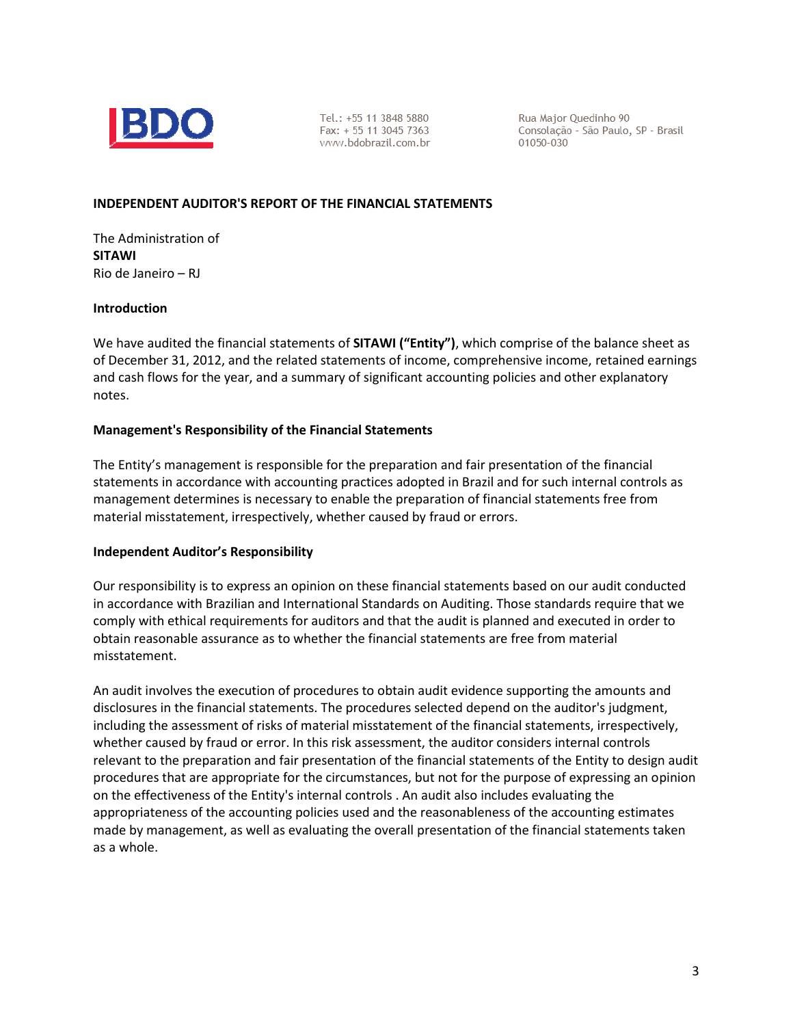

Tel.: +55 11 3848 5880 Fax: + 55 11 3045 7363 www.bdobrazil.com.br

Rua Major Quedinho 90 Consolação - São Paulo, SP - Brasil 01050-030

#### **INDEPENDENT AUDITOR'S REPORT OF THE FINANCIAL STATEMENTS**

The Administration of **SITAWI** Rio de Janeiro – RJ

#### **Introduction**

We have audited the financial statements of **SITAWI ("Entity")**, which comprise of the balance sheet as of December 31, 2012, and the related statements of income, comprehensive income, retained earnings and cash flows for the year, and a summary of significant accounting policies and other explanatory notes.

#### **Management's Responsibility of the Financial Statements**

The Entity's management is responsible for the preparation and fair presentation of the financial statements in accordance with accounting practices adopted in Brazil and for such internal controls as management determines is necessary to enable the preparation of financial statements free from material misstatement, irrespectively, whether caused by fraud or errors.

#### **Independent Auditor's Responsibility**

Our responsibility is to express an opinion on these financial statements based on our audit conducted in accordance with Brazilian and International Standards on Auditing. Those standards require that we comply with ethical requirements for auditors and that the audit is planned and executed in order to obtain reasonable assurance as to whether the financial statements are free from material misstatement.

An audit involves the execution of procedures to obtain audit evidence supporting the amounts and disclosures in the financial statements. The procedures selected depend on the auditor's judgment, including the assessment of risks of material misstatement of the financial statements, irrespectively, whether caused by fraud or error. In this risk assessment, the auditor considers internal controls relevant to the preparation and fair presentation of the financial statements of the Entity to design audit procedures that are appropriate for the circumstances, but not for the purpose of expressing an opinion on the effectiveness of the Entity's internal controls . An audit also includes evaluating the appropriateness of the accounting policies used and the reasonableness of the accounting estimates made by management, as well as evaluating the overall presentation of the financial statements taken as a whole.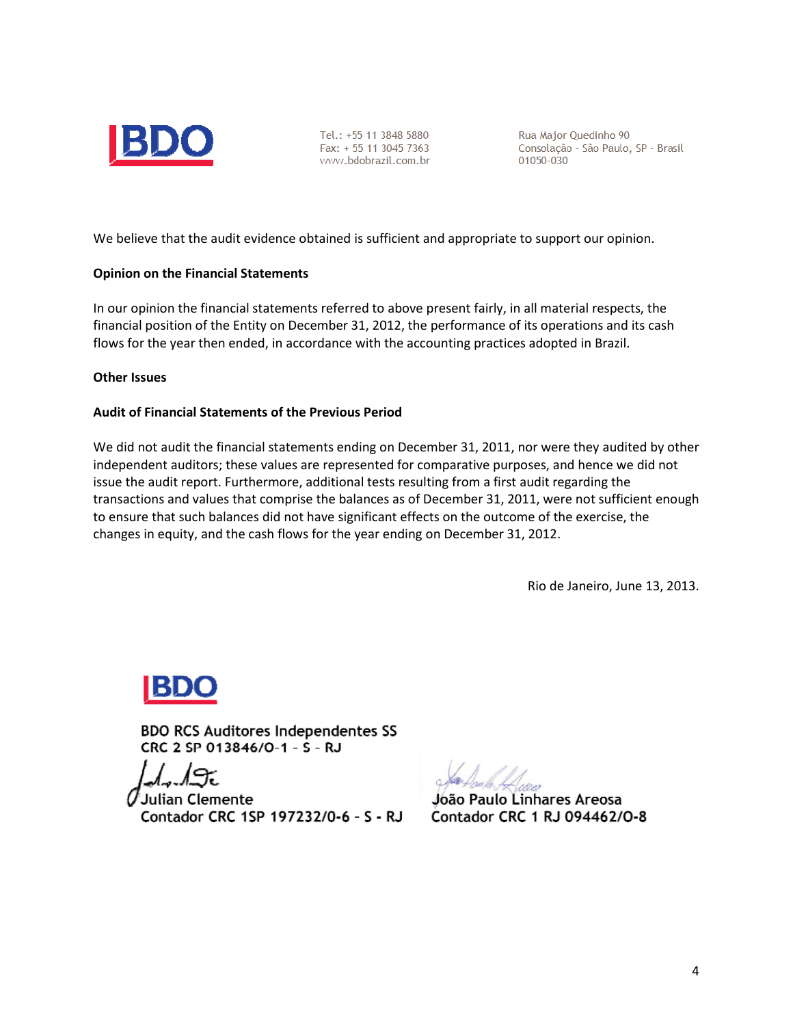

Tel.: +55 11 3848 5880 Fax: + 55 11 3045 7363 www.bdobrazil.com.br Rua Major Quedinho 90 Consolação - São Paulo, SP - Brasil 01050-030

We believe that the audit evidence obtained is sufficient and appropriate to support our opinion.

#### **Opinion on the Financial Statements**

In our opinion the financial statements referred to above present fairly, in all material respects, the financial position of the Entity on December 31, 2012, the performance of its operations and its cash flows for the year then ended, in accordance with the accounting practices adopted in Brazil.

#### **Other Issues**

#### **Audit of Financial Statements of the Previous Period**

We did not audit the financial statements ending on December 31, 2011, nor were they audited by other independent auditors; these values are represented for comparative purposes, and hence we did not issue the audit report. Furthermore, additional tests resulting from a first audit regarding the transactions and values that comprise the balances as of December 31, 2011, were not sufficient enough to ensure that such balances did not have significant effects on the outcome of the exercise, the changes in equity, and the cash flows for the year ending on December 31, 2012.

Rio de Janeiro, June 13, 2013.

**BDO RCS Auditores Independentes SS** CRC 2 SP 013846/O-1 - S - RJ

Julian Clemente Contador CRC 1SP 197232/0-6 - S - RJ

Jóão Paulo Linhares Areosa Contador CRC 1 RJ 094462/0-8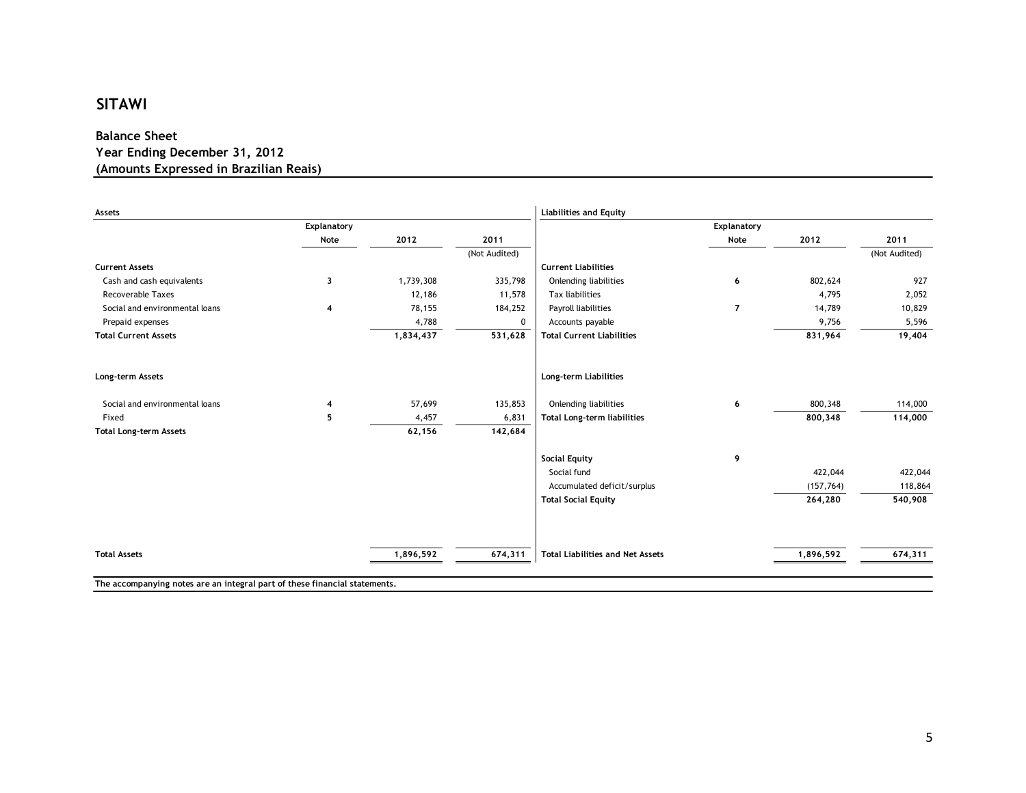#### **Balance Sheet Year Ending December 31, 2012 (Amounts Expressed in Brazilian Reais)**

| Assets                         |                         |           |               | <b>Liabilities and Equity</b>           |                |            |               |
|--------------------------------|-------------------------|-----------|---------------|-----------------------------------------|----------------|------------|---------------|
|                                | Explanatory             |           |               |                                         | Explanatory    |            |               |
|                                | Note                    | 2012      | 2011          |                                         | Note           | 2012       | 2011          |
|                                |                         |           | (Not Audited) |                                         |                |            | (Not Audited) |
| <b>Current Assets</b>          |                         |           |               | <b>Current Liabilities</b>              |                |            |               |
| Cash and cash equivalents      | 3                       | 1,739,308 | 335,798       | <b>Onlending liabilities</b>            | 6              | 802,624    | 927           |
| <b>Recoverable Taxes</b>       |                         | 12,186    | 11,578        | Tax liabilities                         |                | 4,795      | 2,052         |
| Social and environmental loans | $\overline{\mathbf{4}}$ | 78,155    | 184,252       | Payroll liabilities                     | $\overline{7}$ | 14,789     | 10,829        |
| Prepaid expenses               |                         | 4,788     | 0             | Accounts payable                        |                | 9,756      | 5,596         |
| <b>Total Current Assets</b>    |                         | 1,834,437 | 531,628       | <b>Total Current Liabilities</b>        |                | 831,964    | 19,404        |
| Long-term Assets               |                         |           |               | Long-term Liabilities                   |                |            |               |
| Social and environmental loans | 4                       | 57,699    | 135,853       | <b>Onlending liabilities</b>            | 6              | 800,348    | 114,000       |
| Fixed                          | 5                       | 4,457     | 6,831         | <b>Total Long-term liabilities</b>      |                | 800,348    | 114,000       |
| <b>Total Long-term Assets</b>  |                         | 62,156    | 142,684       |                                         |                |            |               |
|                                |                         |           |               | <b>Social Equity</b>                    | 9              |            |               |
|                                |                         |           |               | Social fund                             |                | 422,044    | 422,044       |
|                                |                         |           |               | Accumulated deficit/surplus             |                | (157, 764) | 118,864       |
|                                |                         |           |               | <b>Total Social Equity</b>              |                | 264,280    | 540,908       |
|                                |                         |           |               |                                         |                |            |               |
| <b>Total Assets</b>            |                         | 1,896,592 | 674,311       | <b>Total Liabilities and Net Assets</b> |                | 1,896,592  | 674,311       |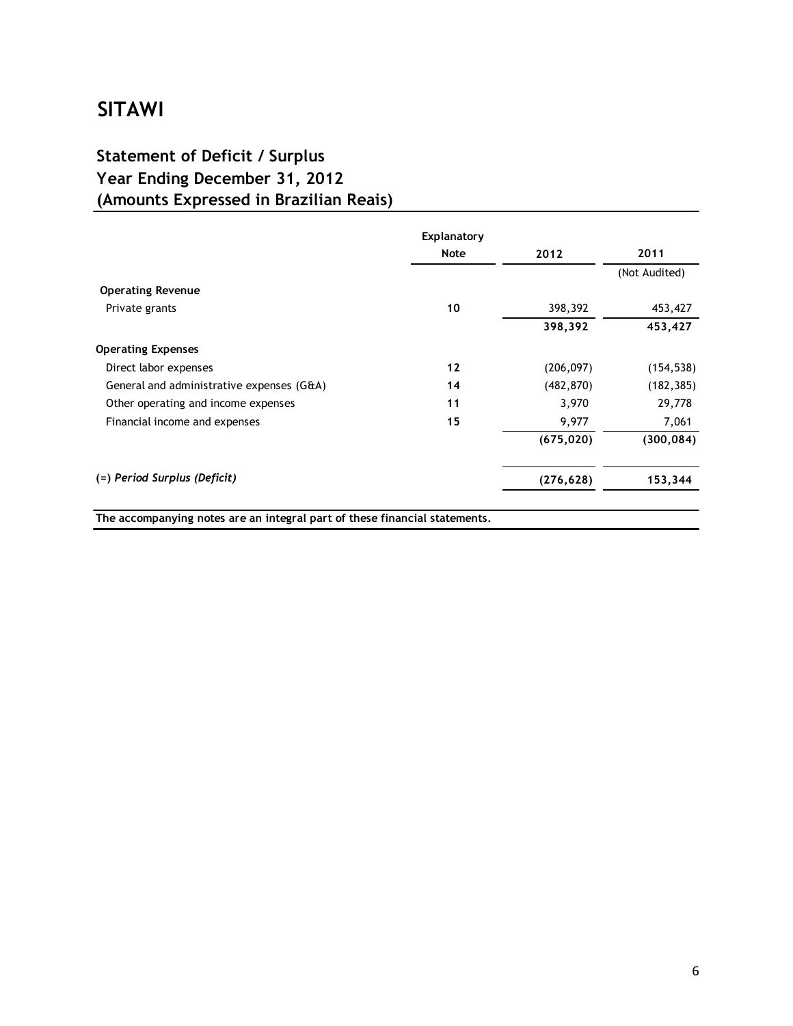### **Statement of Deficit / Surplus Year Ending December 31, 2012 (Amounts Expressed in Brazilian Reais)**

|                                           | Explanatory |            |               |
|-------------------------------------------|-------------|------------|---------------|
|                                           | <b>Note</b> | 2012       | 2011          |
|                                           |             |            | (Not Audited) |
| <b>Operating Revenue</b>                  |             |            |               |
| Private grants                            | 10          | 398,392    | 453,427       |
|                                           |             | 398,392    | 453,427       |
| <b>Operating Expenses</b>                 |             |            |               |
| Direct labor expenses                     | 12          | (206, 097) | (154, 538)    |
| General and administrative expenses (G&A) | 14          | (482, 870) | (182, 385)    |
| Other operating and income expenses       | 11          | 3,970      | 29,778        |
| Financial income and expenses             | 15          | 9,977      | 7,061         |
|                                           |             | (675, 020) | (300, 084)    |
| (=) Period Surplus (Deficit)              |             | (276, 628) | 153,344       |

**The accompanying notes are an integral part of these financial statements.**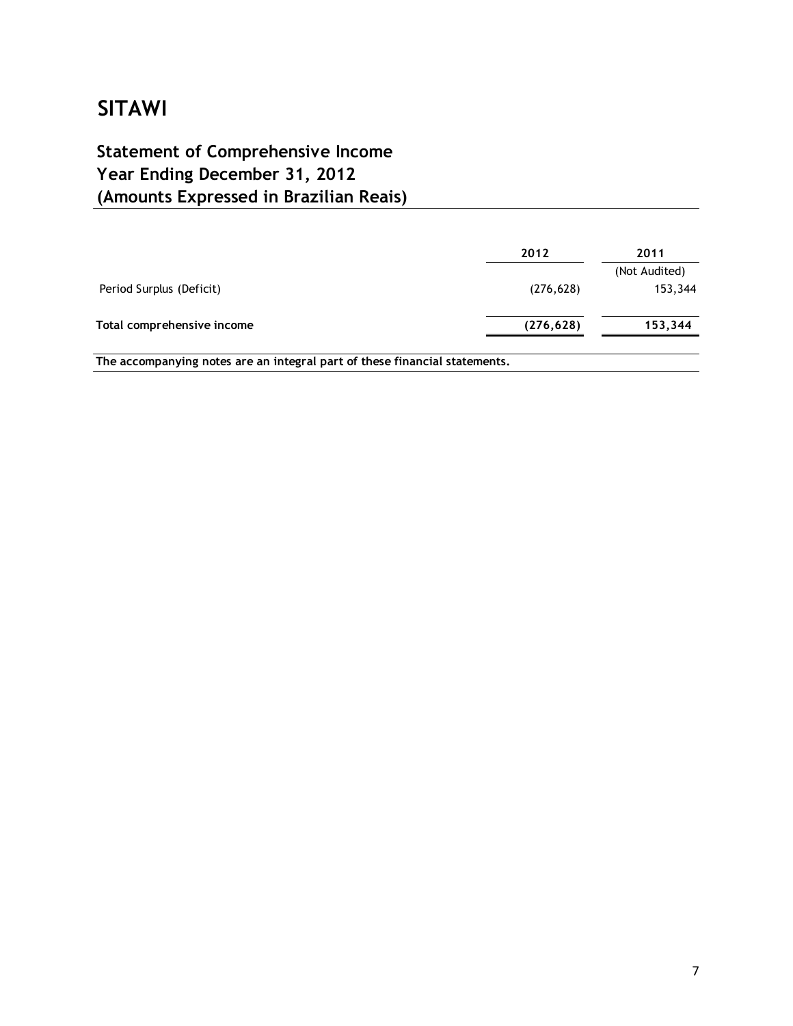## **(Amounts Expressed in Brazilian Reais) Statement of Comprehensive Income Year Ending December 31, 2012**

|                            | 2012       | 2011          |
|----------------------------|------------|---------------|
|                            |            | (Not Audited) |
| Period Surplus (Deficit)   | (276, 628) | 153,344       |
| Total comprehensive income | (276, 628) | 153,344       |
|                            |            |               |

**The accompanying notes are an integral part of these financial statements.**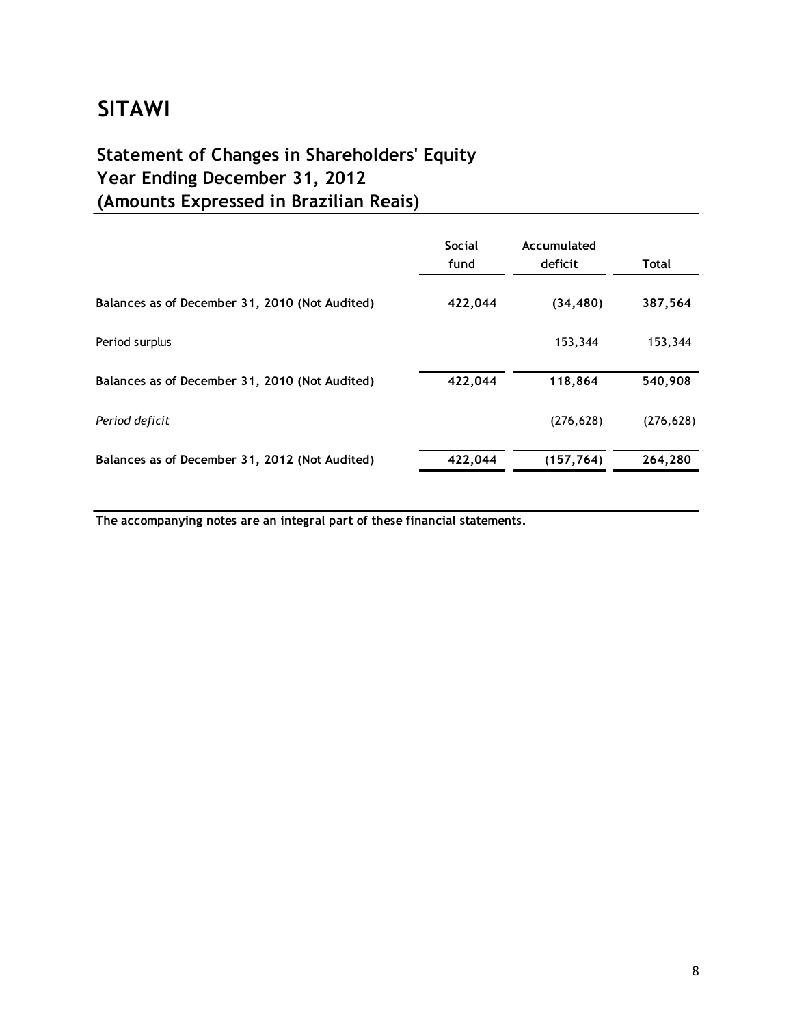# **Statement of Changes in Shareholders' Equity Year Ending December 31, 2012 (Amounts Expressed in Brazilian Reais)**

|                                                | <b>Social</b><br>fund | Accumulated<br>deficit | <b>Total</b> |
|------------------------------------------------|-----------------------|------------------------|--------------|
| Balances as of December 31, 2010 (Not Audited) | 422,044               | (34, 480)              | 387,564      |
| Period surplus                                 |                       | 153,344                | 153,344      |
| Balances as of December 31, 2010 (Not Audited) | 422,044               | 118,864                | 540,908      |
| Period deficit                                 |                       | (276, 628)             | (276, 628)   |
| Balances as of December 31, 2012 (Not Audited) | 422,044               | (157, 764)             | 264,280      |

**The accompanying notes are an integral part of these financial statements.**